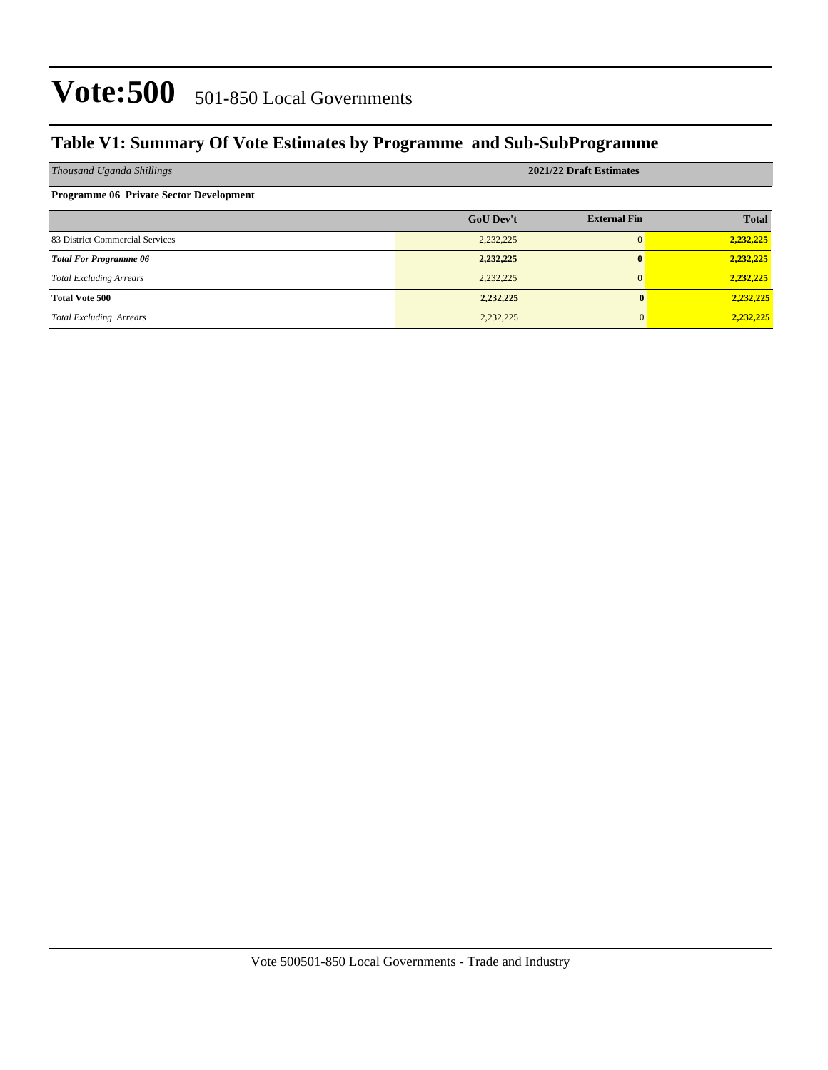### Vote: 500 501-850 Local Governments

#### **Table V1: Summary Of Vote Estimates by Programme and Sub-SubProgramme**

| Thousand Uganda Shillings                      | 2021/22 Draft Estimates |                     |              |  |  |
|------------------------------------------------|-------------------------|---------------------|--------------|--|--|
| <b>Programme 06 Private Sector Development</b> |                         |                     |              |  |  |
|                                                | <b>GoU Dev't</b>        | <b>External Fin</b> | <b>Total</b> |  |  |
| 83 District Commercial Services                | 2,232,225               | $\Omega$            | 2,232,225    |  |  |
| <b>Total For Programme 06</b>                  | 2,232,225               | $\bf{0}$            | 2,232,225    |  |  |
| <b>Total Excluding Arrears</b>                 | 2,232,225               | $\Omega$            | 2,232,225    |  |  |
| <b>Total Vote 500</b>                          | 2,232,225               |                     | 2,232,225    |  |  |
| <b>Total Excluding Arrears</b>                 | 2,232,225               |                     | 2,232,225    |  |  |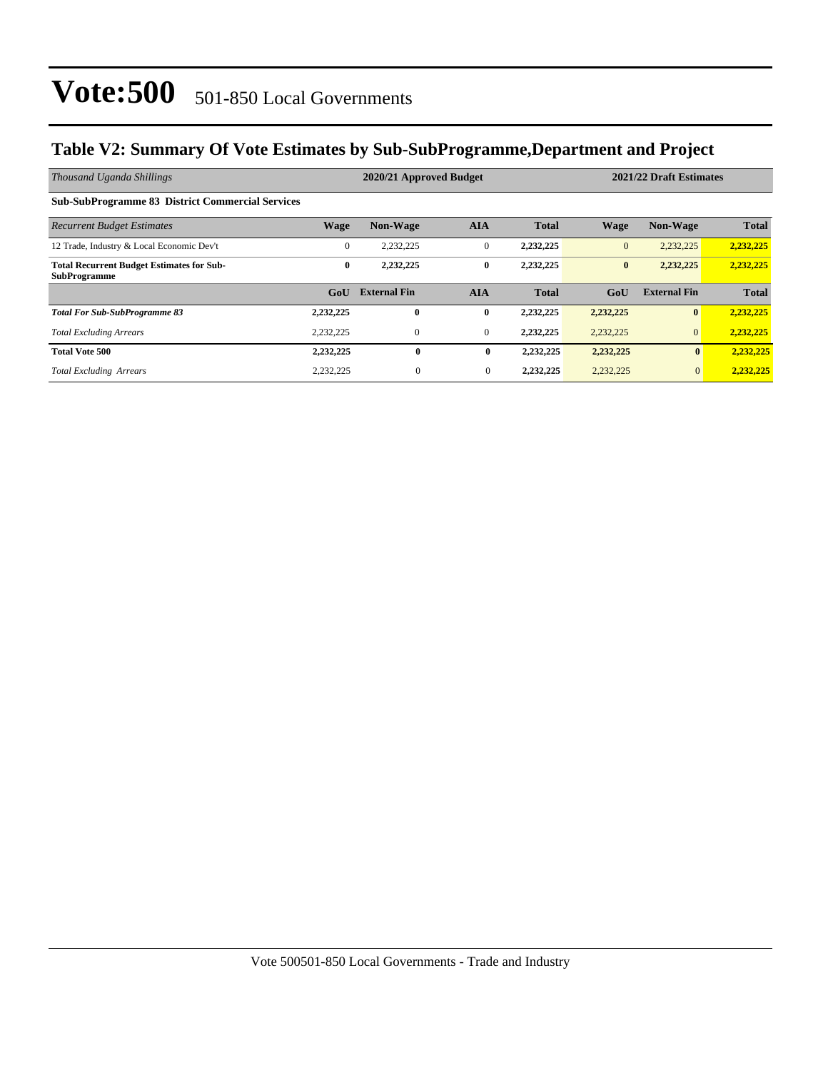## Vote:500 501-850 Local Governments

#### **Table V2: Summary Of Vote Estimates by Sub-SubProgramme,Department and Project**

| Thousand Uganda Shillings                                               |                  | 2020/21 Approved Budget |              |              | 2021/22 Draft Estimates |                     |              |
|-------------------------------------------------------------------------|------------------|-------------------------|--------------|--------------|-------------------------|---------------------|--------------|
| <b>Sub-SubProgramme 83 District Commercial Services</b>                 |                  |                         |              |              |                         |                     |              |
| <b>Recurrent Budget Estimates</b>                                       | <b>Wage</b>      | <b>Non-Wage</b>         | <b>AIA</b>   | <b>Total</b> | <b>Wage</b>             | <b>Non-Wage</b>     | <b>Total</b> |
| 12 Trade, Industry & Local Economic Dev't                               | $\mathbf{0}$     | 2,232,225               | $\mathbf{0}$ | 2,232,225    | $\mathbf{0}$            | 2,232,225           | 2,232,225    |
| <b>Total Recurrent Budget Estimates for Sub-</b><br><b>SubProgramme</b> | $\bf{0}$         | 2,232,225               | $\bf{0}$     | 2,232,225    | $\bf{0}$                | 2,232,225           | 2,232,225    |
|                                                                         | G <sub>o</sub> U | <b>External Fin</b>     | <b>AIA</b>   | <b>Total</b> | GoU                     | <b>External Fin</b> | <b>Total</b> |
| <b>Total For Sub-SubProgramme 83</b>                                    | 2,232,225        | 0                       | $\bf{0}$     | 2,232,225    | 2,232,225               | $\mathbf{0}$        | 2,232,225    |
| <b>Total Excluding Arrears</b>                                          | 2,232,225        | $\mathbf{0}$            | $\mathbf{0}$ | 2,232,225    | 2,232,225               | $\mathbf{0}$        | 2,232,225    |
| <b>Total Vote 500</b>                                                   | 2,232,225        | $\bf{0}$                | $\bf{0}$     | 2,232,225    | 2,232,225               | $\mathbf{0}$        | 2,232,225    |
| <b>Total Excluding Arrears</b>                                          | 2,232,225        | $\theta$                | $\mathbf{0}$ | 2,232,225    | 2,232,225               | $\mathbf{0}$        | 2,232,225    |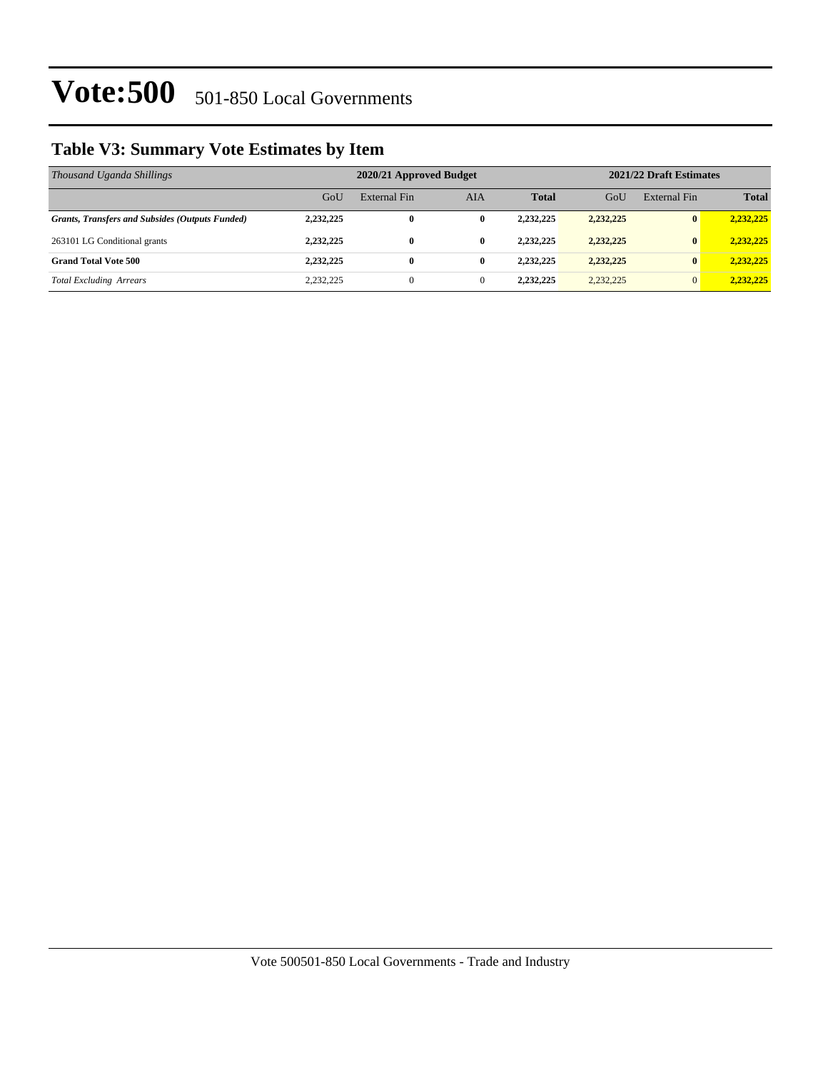## Vote: 500 501-850 Local Governments

### **Table V3: Summary Vote Estimates by Item**

| Thousand Uganda Shillings                              | 2020/21 Approved Budget |                |              |              |           | 2021/22 Draft Estimates |              |  |
|--------------------------------------------------------|-------------------------|----------------|--------------|--------------|-----------|-------------------------|--------------|--|
|                                                        | GoU                     | External Fin   | <b>AIA</b>   | <b>Total</b> | GoU       | External Fin            | <b>Total</b> |  |
| <b>Grants, Transfers and Subsides (Outputs Funded)</b> | 2,232,225               | $\bf{0}$       | $\bf{0}$     | 2,232,225    | 2,232,225 | $\bf{0}$                | 2,232,225    |  |
| 263101 LG Conditional grants                           | 2,232,225               | $\bf{0}$       | $\bf{0}$     | 2,232,225    | 2,232,225 | $\bf{0}$                | 2,232,225    |  |
| <b>Grand Total Vote 500</b>                            | 2,232,225               | $\bf{0}$       | $\bf{0}$     | 2.232.225    | 2,232,225 | $\bf{0}$                | 2.232.225    |  |
| <b>Total Excluding Arrears</b>                         | 2,232,225               | $\overline{0}$ | $\mathbf{0}$ | 2,232,225    | 2,232,225 | $\overline{0}$          | 2,232,225    |  |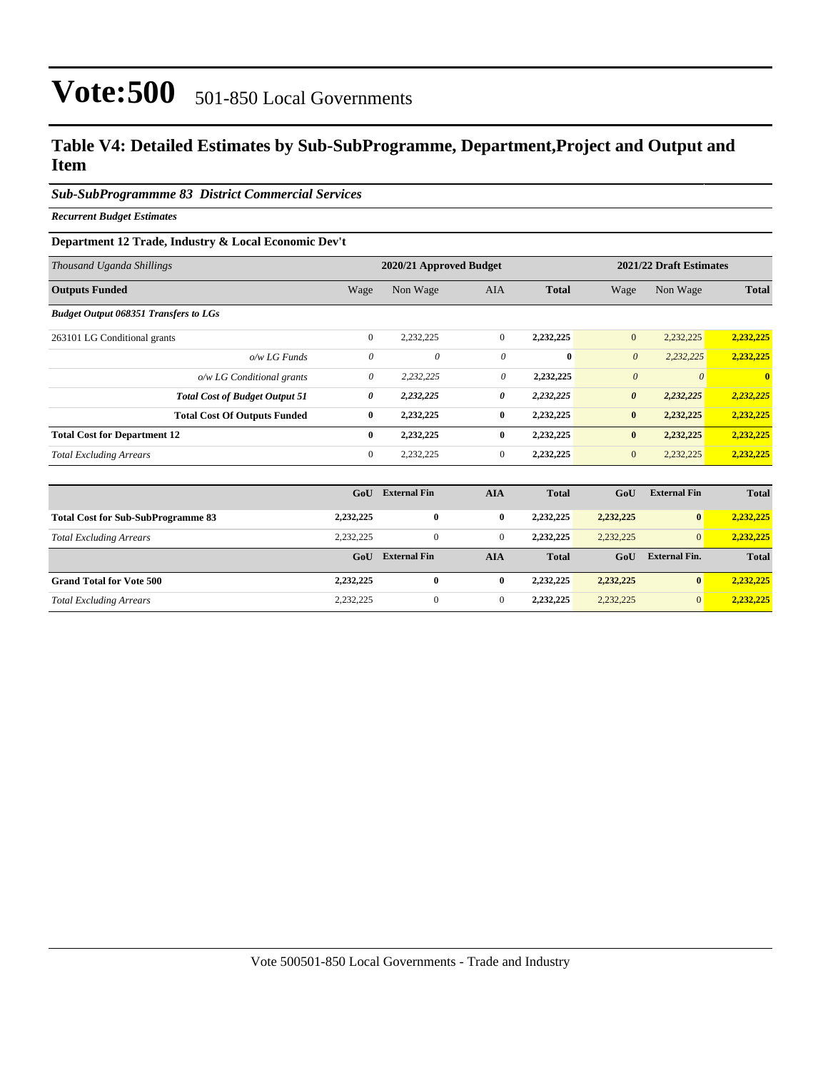## Vote:500 501-850 Local Governments

#### **Table V4: Detailed Estimates by Sub-SubProgramme, Department,Project and Output and Item**

#### *Sub-SubProgrammme 83 District Commercial Services*

*Recurrent Budget Estimates*

#### **Department 12 Trade, Industry & Local Economic Dev't**

| Thousand Uganda Shillings                    | 2020/21 Approved Budget |                     |                |              | 2021/22 Draft Estimates |                      |                         |
|----------------------------------------------|-------------------------|---------------------|----------------|--------------|-------------------------|----------------------|-------------------------|
| <b>Outputs Funded</b>                        | Wage                    | Non Wage            | AIA            | <b>Total</b> | Wage                    | Non Wage             | <b>Total</b>            |
| <b>Budget Output 068351 Transfers to LGs</b> |                         |                     |                |              |                         |                      |                         |
| 263101 LG Conditional grants                 | $\mathbf{0}$            | 2,232,225           | $\overline{0}$ | 2,232,225    | $\overline{0}$          | 2,232,225            | 2,232,225               |
| $o/w$ LG Funds                               | $\theta$                | 0                   | 0              | $\mathbf{0}$ | $\boldsymbol{\theta}$   | 2,232,225            | 2,232,225               |
| o/w LG Conditional grants                    | $\theta$                | 2,232,225           | 0              | 2,232,225    | $\boldsymbol{\theta}$   | $\theta$             | $\overline{\mathbf{0}}$ |
| <b>Total Cost of Budget Output 51</b>        | 0                       | 2,232,225           | 0              | 2,232,225    | $\boldsymbol{\theta}$   | 2,232,225            | 2,232,225               |
| <b>Total Cost Of Outputs Funded</b>          | $\bf{0}$                | 2,232,225           | $\bf{0}$       | 2,232,225    | $\bf{0}$                | 2,232,225            | 2,232,225               |
| <b>Total Cost for Department 12</b>          | $\bf{0}$                | 2,232,225           | $\bf{0}$       | 2,232,225    | $\bf{0}$                | 2,232,225            | 2,232,225               |
| <b>Total Excluding Arrears</b>               | $\mathbf{0}$            | 2,232,225           | $\overline{0}$ | 2,232,225    | $\mathbf{0}$            | 2,232,225            | 2,232,225               |
|                                              |                         |                     |                |              |                         |                      |                         |
|                                              | GoU                     | <b>External Fin</b> | <b>AIA</b>     | <b>Total</b> | GoU                     | <b>External Fin</b>  | <b>Total</b>            |
| <b>Total Cost for Sub-SubProgramme 83</b>    | 2,232,225               | $\bf{0}$            | $\bf{0}$       | 2,232,225    | 2,232,225               | $\bf{0}$             | 2,232,225               |
| <b>Total Excluding Arrears</b>               | 2,232,225               | $\mathbf{0}$        | $\overline{0}$ | 2,232,225    | 2,232,225               | $\vert 0 \vert$      | 2,232,225               |
|                                              | GoU                     | <b>External Fin</b> | <b>AIA</b>     | <b>Total</b> | GoU                     | <b>External Fin.</b> | <b>Total</b>            |
| <b>Grand Total for Vote 500</b>              | 2,232,225               | $\bf{0}$            | $\bf{0}$       | 2,232,225    | 2,232,225               | $\bf{0}$             | 2,232,225               |

*Total Excluding Arrears* 2,232,225 0 0 **2,232,225** 2,232,225 0 **2,232,225**